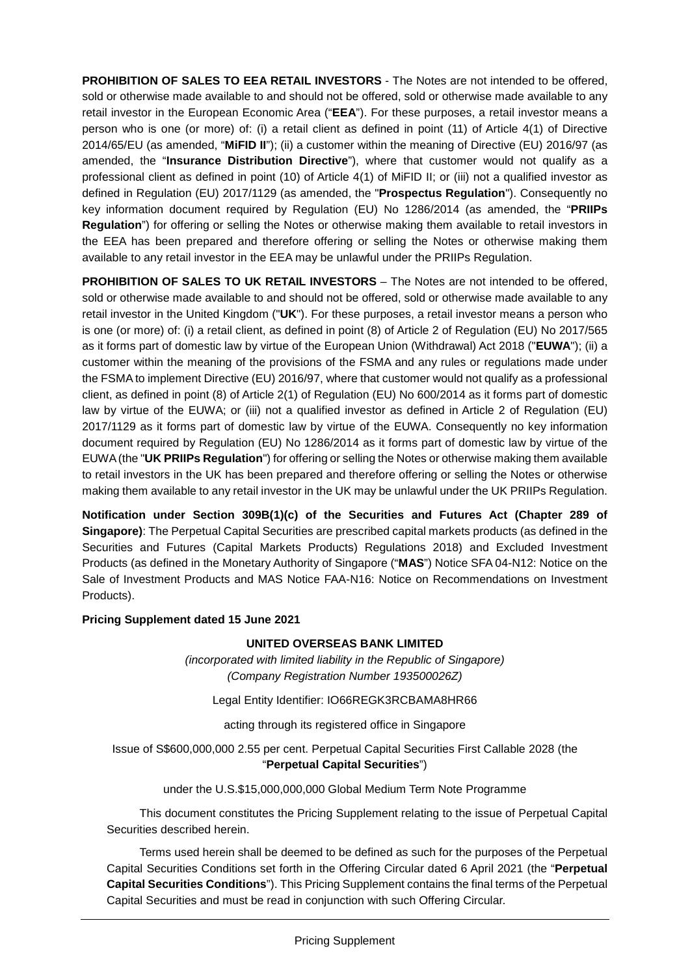**PROHIBITION OF SALES TO EEA RETAIL INVESTORS** - The Notes are not intended to be offered, sold or otherwise made available to and should not be offered, sold or otherwise made available to any retail investor in the European Economic Area ("**EEA**"). For these purposes, a retail investor means a person who is one (or more) of: (i) a retail client as defined in point (11) of Article 4(1) of Directive 2014/65/EU (as amended, "**MiFID II**"); (ii) a customer within the meaning of Directive (EU) 2016/97 (as amended, the "**Insurance Distribution Directive**"), where that customer would not qualify as a professional client as defined in point (10) of Article 4(1) of MiFID II; or (iii) not a qualified investor as defined in Regulation (EU) 2017/1129 (as amended, the "**Prospectus Regulation**"). Consequently no key information document required by Regulation (EU) No 1286/2014 (as amended, the "**PRIIPs Regulation**") for offering or selling the Notes or otherwise making them available to retail investors in the EEA has been prepared and therefore offering or selling the Notes or otherwise making them available to any retail investor in the EEA may be unlawful under the PRIIPs Regulation.

**PROHIBITION OF SALES TO UK RETAIL INVESTORS** – The Notes are not intended to be offered, sold or otherwise made available to and should not be offered, sold or otherwise made available to any retail investor in the United Kingdom ("**UK**"). For these purposes, a retail investor means a person who is one (or more) of: (i) a retail client, as defined in point (8) of Article 2 of Regulation (EU) No 2017/565 as it forms part of domestic law by virtue of the European Union (Withdrawal) Act 2018 ("**EUWA**"); (ii) a customer within the meaning of the provisions of the FSMA and any rules or regulations made under the FSMA to implement Directive (EU) 2016/97, where that customer would not qualify as a professional client, as defined in point (8) of Article 2(1) of Regulation (EU) No 600/2014 as it forms part of domestic law by virtue of the EUWA; or (iii) not a qualified investor as defined in Article 2 of Regulation (EU) 2017/1129 as it forms part of domestic law by virtue of the EUWA. Consequently no key information document required by Regulation (EU) No 1286/2014 as it forms part of domestic law by virtue of the EUWA (the "**UK PRIIPs Regulation**") for offering or selling the Notes or otherwise making them available to retail investors in the UK has been prepared and therefore offering or selling the Notes or otherwise making them available to any retail investor in the UK may be unlawful under the UK PRIIPs Regulation.

**Notification under Section 309B(1)(c) of the Securities and Futures Act (Chapter 289 of Singapore)**: The Perpetual Capital Securities are prescribed capital markets products (as defined in the Securities and Futures (Capital Markets Products) Regulations 2018) and Excluded Investment Products (as defined in the Monetary Authority of Singapore ("**MAS**") Notice SFA 04-N12: Notice on the Sale of Investment Products and MAS Notice FAA-N16: Notice on Recommendations on Investment Products).

## **Pricing Supplement dated 15 June 2021**

### **UNITED OVERSEAS BANK LIMITED**

*(incorporated with limited liability in the Republic of Singapore) (Company Registration Number 193500026Z)*

Legal Entity Identifier: IO66REGK3RCBAMA8HR66

acting through its registered office in Singapore

Issue of S\$600,000,000 2.55 per cent. Perpetual Capital Securities First Callable 2028 (the "**Perpetual Capital Securities**")

under the U.S.\$15,000,000,000 Global Medium Term Note Programme

This document constitutes the Pricing Supplement relating to the issue of Perpetual Capital Securities described herein.

Terms used herein shall be deemed to be defined as such for the purposes of the Perpetual Capital Securities Conditions set forth in the Offering Circular dated 6 April 2021 (the "**Perpetual Capital Securities Conditions**"). This Pricing Supplement contains the final terms of the Perpetual Capital Securities and must be read in conjunction with such Offering Circular.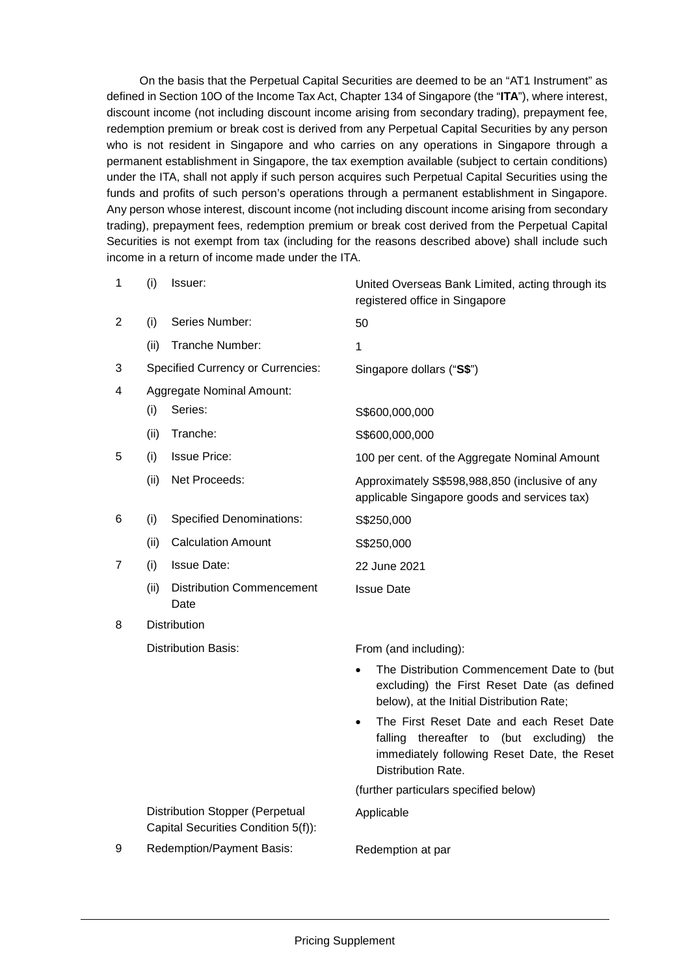On the basis that the Perpetual Capital Securities are deemed to be an "AT1 Instrument" as defined in Section 10O of the Income Tax Act, Chapter 134 of Singapore (the "**ITA**"), where interest, discount income (not including discount income arising from secondary trading), prepayment fee, redemption premium or break cost is derived from any Perpetual Capital Securities by any person who is not resident in Singapore and who carries on any operations in Singapore through a permanent establishment in Singapore, the tax exemption available (subject to certain conditions) under the ITA, shall not apply if such person acquires such Perpetual Capital Securities using the funds and profits of such person's operations through a permanent establishment in Singapore. Any person whose interest, discount income (not including discount income arising from secondary trading), prepayment fees, redemption premium or break cost derived from the Perpetual Capital Securities is not exempt from tax (including for the reasons described above) shall include such income in a return of income made under the ITA.

| 1 | (i)                        | Issuer:                                                                       | United Overseas Bank Limited, acting through its<br>registered office in Singapore                                                                            |
|---|----------------------------|-------------------------------------------------------------------------------|---------------------------------------------------------------------------------------------------------------------------------------------------------------|
| 2 | (i)                        | Series Number:                                                                | 50                                                                                                                                                            |
|   | (ii)                       | Tranche Number:                                                               | 1                                                                                                                                                             |
| 3 |                            | <b>Specified Currency or Currencies:</b>                                      | Singapore dollars ("S\$")                                                                                                                                     |
| 4 |                            | <b>Aggregate Nominal Amount:</b>                                              |                                                                                                                                                               |
|   | (i)                        | Series:                                                                       | S\$600,000,000                                                                                                                                                |
|   | (ii)                       | Tranche:                                                                      | S\$600,000,000                                                                                                                                                |
| 5 | (i)                        | <b>Issue Price:</b>                                                           | 100 per cent. of the Aggregate Nominal Amount                                                                                                                 |
|   | (ii)                       | Net Proceeds:                                                                 | Approximately S\$598,988,850 (inclusive of any<br>applicable Singapore goods and services tax)                                                                |
| 6 | (i)                        | <b>Specified Denominations:</b>                                               | S\$250,000                                                                                                                                                    |
|   | (ii)                       | <b>Calculation Amount</b>                                                     | S\$250,000                                                                                                                                                    |
| 7 | (i)                        | <b>Issue Date:</b>                                                            | 22 June 2021                                                                                                                                                  |
|   | (ii)                       | <b>Distribution Commencement</b><br>Date                                      | <b>Issue Date</b>                                                                                                                                             |
| 8 |                            | <b>Distribution</b>                                                           |                                                                                                                                                               |
|   | <b>Distribution Basis:</b> |                                                                               | From (and including):                                                                                                                                         |
|   |                            |                                                                               | The Distribution Commencement Date to (but<br>excluding) the First Reset Date (as defined<br>below), at the Initial Distribution Rate;                        |
|   |                            |                                                                               | The First Reset Date and each Reset Date<br>falling thereafter to (but excluding)<br>the<br>immediately following Reset Date, the Reset<br>Distribution Rate. |
|   |                            |                                                                               | (further particulars specified below)                                                                                                                         |
|   |                            | <b>Distribution Stopper (Perpetual</b><br>Capital Securities Condition 5(f)): | Applicable                                                                                                                                                    |
| 9 |                            | Redemption/Payment Basis:                                                     | Redemption at par                                                                                                                                             |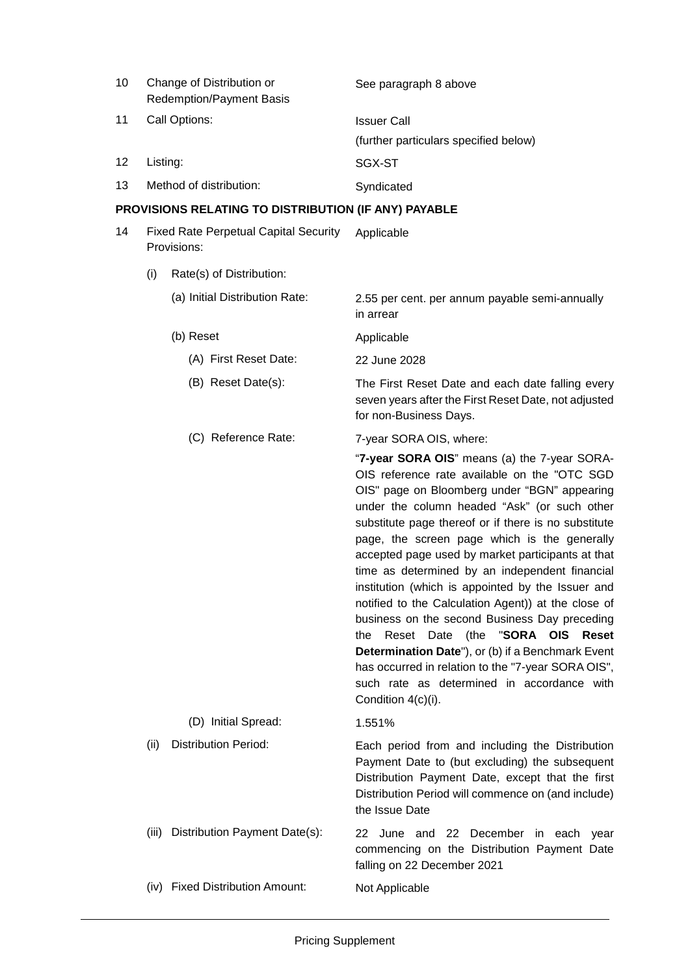| 10 | Change of Distribution or<br><b>Redemption/Payment Basis</b> | See paragraph 8 above                 |
|----|--------------------------------------------------------------|---------------------------------------|
| 11 | Call Options:                                                | <b>Issuer Call</b>                    |
|    |                                                              | (further particulars specified below) |
| 12 | Listing:                                                     | SGX-ST                                |
| 13 | Method of distribution:                                      | Syndicated                            |

# **PROVISIONS RELATING TO DISTRIBUTION (IF ANY) PAYABLE**

| 14 | <b>Fixed Rate Perpetual Capital Security</b><br>Provisions: |                                | Applicable                                                                                                                                                                                                                                                                                                                                                                                                                                                                                                                                                                                                                                                                                                                                                                                     |
|----|-------------------------------------------------------------|--------------------------------|------------------------------------------------------------------------------------------------------------------------------------------------------------------------------------------------------------------------------------------------------------------------------------------------------------------------------------------------------------------------------------------------------------------------------------------------------------------------------------------------------------------------------------------------------------------------------------------------------------------------------------------------------------------------------------------------------------------------------------------------------------------------------------------------|
|    | (i)                                                         | Rate(s) of Distribution:       |                                                                                                                                                                                                                                                                                                                                                                                                                                                                                                                                                                                                                                                                                                                                                                                                |
|    |                                                             | (a) Initial Distribution Rate: | 2.55 per cent. per annum payable semi-annually<br>in arrear                                                                                                                                                                                                                                                                                                                                                                                                                                                                                                                                                                                                                                                                                                                                    |
|    |                                                             | (b) Reset                      | Applicable                                                                                                                                                                                                                                                                                                                                                                                                                                                                                                                                                                                                                                                                                                                                                                                     |
|    |                                                             | (A) First Reset Date:          | 22 June 2028                                                                                                                                                                                                                                                                                                                                                                                                                                                                                                                                                                                                                                                                                                                                                                                   |
|    |                                                             | (B) Reset Date(s):             | The First Reset Date and each date falling every<br>seven years after the First Reset Date, not adjusted<br>for non-Business Days.                                                                                                                                                                                                                                                                                                                                                                                                                                                                                                                                                                                                                                                             |
|    |                                                             | (C) Reference Rate:            | 7-year SORA OIS, where:                                                                                                                                                                                                                                                                                                                                                                                                                                                                                                                                                                                                                                                                                                                                                                        |
|    |                                                             |                                | "7-year SORA OIS" means (a) the 7-year SORA-<br>OIS reference rate available on the "OTC SGD<br>OIS" page on Bloomberg under "BGN" appearing<br>under the column headed "Ask" (or such other<br>substitute page thereof or if there is no substitute<br>page, the screen page which is the generally<br>accepted page used by market participants at that<br>time as determined by an independent financial<br>institution (which is appointed by the Issuer and<br>notified to the Calculation Agent)) at the close of<br>business on the second Business Day preceding<br>the Reset Date (the "SORA OIS Reset<br>Determination Date"), or (b) if a Benchmark Event<br>has occurred in relation to the "7-year SORA OIS",<br>such rate as determined in accordance with<br>Condition 4(c)(i). |
|    |                                                             | (D) Initial Spread:            | 1.551%                                                                                                                                                                                                                                                                                                                                                                                                                                                                                                                                                                                                                                                                                                                                                                                         |
|    | (ii)                                                        | <b>Distribution Period:</b>    | Each period from and including the Distribution<br>Payment Date to (but excluding) the subsequent                                                                                                                                                                                                                                                                                                                                                                                                                                                                                                                                                                                                                                                                                              |

Payment Date to (but excluding) the subsequent Distribution Payment Date, except that the first Distribution Period will commence on (and include) the Issue Date

(iii) Distribution Payment Date(s): 22 June and 22 December in each year commencing on the Distribution Payment Date falling on 22 December 2021 (iv) Fixed Distribution Amount: Not Applicable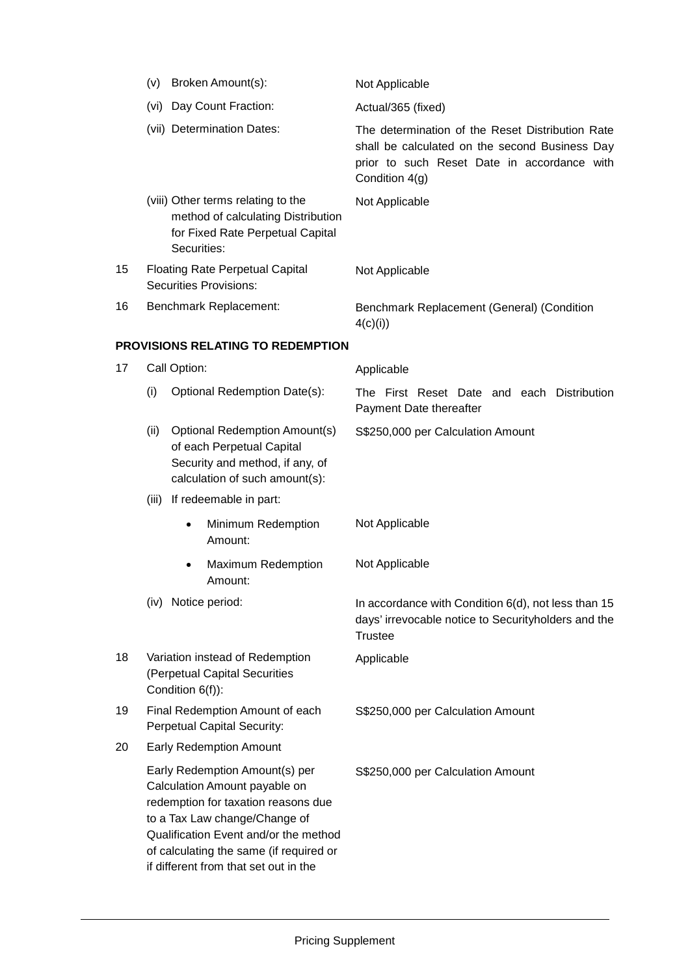|    | (v)                                                                                  | Broken Amount(s):                                                                                                                                                                                                                                                    | Not Applicable                                                                                                                                                      |  |
|----|--------------------------------------------------------------------------------------|----------------------------------------------------------------------------------------------------------------------------------------------------------------------------------------------------------------------------------------------------------------------|---------------------------------------------------------------------------------------------------------------------------------------------------------------------|--|
|    |                                                                                      | (vi) Day Count Fraction:                                                                                                                                                                                                                                             | Actual/365 (fixed)                                                                                                                                                  |  |
|    |                                                                                      | (vii) Determination Dates:                                                                                                                                                                                                                                           | The determination of the Reset Distribution Rate<br>shall be calculated on the second Business Day<br>prior to such Reset Date in accordance with<br>Condition 4(g) |  |
|    |                                                                                      | (viii) Other terms relating to the<br>method of calculating Distribution<br>for Fixed Rate Perpetual Capital<br>Securities:                                                                                                                                          | Not Applicable                                                                                                                                                      |  |
| 15 |                                                                                      | <b>Floating Rate Perpetual Capital</b><br><b>Securities Provisions:</b>                                                                                                                                                                                              | Not Applicable                                                                                                                                                      |  |
| 16 |                                                                                      | Benchmark Replacement:                                                                                                                                                                                                                                               | Benchmark Replacement (General) (Condition<br>4(c)(i))                                                                                                              |  |
|    | <b>PROVISIONS RELATING TO REDEMPTION</b>                                             |                                                                                                                                                                                                                                                                      |                                                                                                                                                                     |  |
| 17 |                                                                                      | Call Option:                                                                                                                                                                                                                                                         | Applicable                                                                                                                                                          |  |
|    | (i)                                                                                  | Optional Redemption Date(s):                                                                                                                                                                                                                                         | The First Reset Date and each Distribution<br>Payment Date thereafter                                                                                               |  |
|    | (ii)                                                                                 | <b>Optional Redemption Amount(s)</b><br>of each Perpetual Capital<br>Security and method, if any, of<br>calculation of such amount(s):                                                                                                                               | S\$250,000 per Calculation Amount                                                                                                                                   |  |
|    | (iii)                                                                                | If redeemable in part:                                                                                                                                                                                                                                               |                                                                                                                                                                     |  |
|    |                                                                                      | Minimum Redemption<br>$\bullet$<br>Amount:                                                                                                                                                                                                                           | Not Applicable                                                                                                                                                      |  |
|    |                                                                                      | Maximum Redemption<br>$\bullet$<br>Amount:                                                                                                                                                                                                                           | Not Applicable                                                                                                                                                      |  |
|    |                                                                                      | (iv) Notice period:                                                                                                                                                                                                                                                  | In accordance with Condition 6(d), not less than 15<br>days' irrevocable notice to Securityholders and the<br><b>Trustee</b>                                        |  |
| 18 | Variation instead of Redemption<br>(Perpetual Capital Securities<br>Condition 6(f)): |                                                                                                                                                                                                                                                                      | Applicable                                                                                                                                                          |  |
| 19 |                                                                                      | Final Redemption Amount of each<br><b>Perpetual Capital Security:</b>                                                                                                                                                                                                | S\$250,000 per Calculation Amount                                                                                                                                   |  |
| 20 |                                                                                      | <b>Early Redemption Amount</b>                                                                                                                                                                                                                                       |                                                                                                                                                                     |  |
|    |                                                                                      | Early Redemption Amount(s) per<br>Calculation Amount payable on<br>redemption for taxation reasons due<br>to a Tax Law change/Change of<br>Qualification Event and/or the method<br>of calculating the same (if required or<br>if different from that set out in the | S\$250,000 per Calculation Amount                                                                                                                                   |  |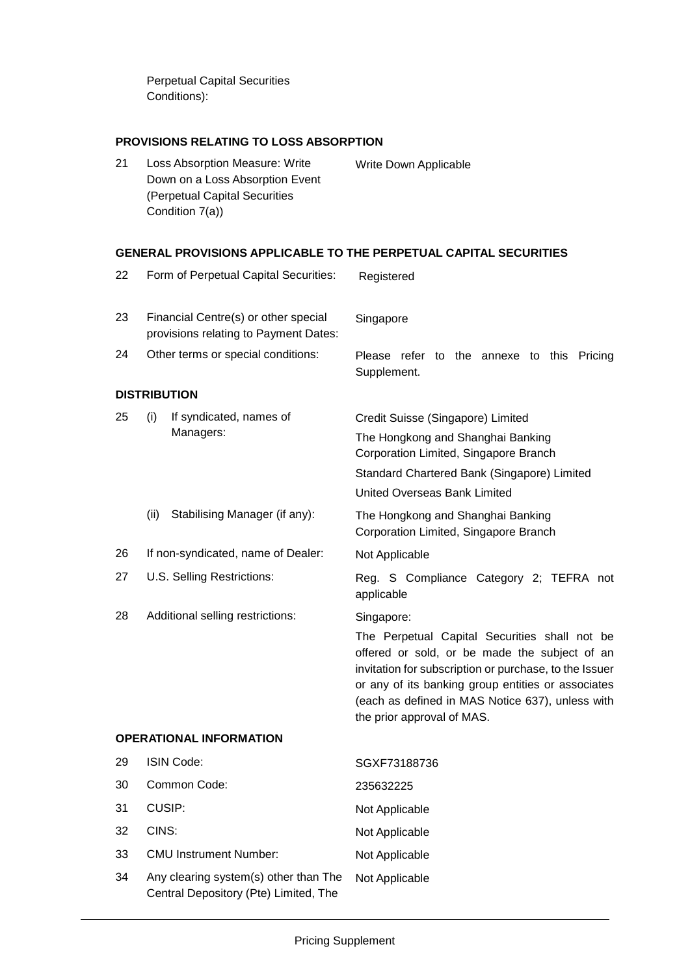Perpetual Capital Securities Conditions):

### **PROVISIONS RELATING TO LOSS ABSORPTION**

21 Loss Absorption Measure: Write Down on a Loss Absorption Event (Perpetual Capital Securities Condition 7(a)) Write Down Applicable

#### **GENERAL PROVISIONS APPLICABLE TO THE PERPETUAL CAPITAL SECURITIES**

| 22 |                     | Form of Perpetual Capital Securities:                                          | Registered                                                                                                                                                                                                                                                                                       |
|----|---------------------|--------------------------------------------------------------------------------|--------------------------------------------------------------------------------------------------------------------------------------------------------------------------------------------------------------------------------------------------------------------------------------------------|
| 23 |                     | Financial Centre(s) or other special<br>provisions relating to Payment Dates:  | Singapore                                                                                                                                                                                                                                                                                        |
| 24 |                     | Other terms or special conditions:                                             | Please<br>refer to the annexe to this<br>Pricing<br>Supplement.                                                                                                                                                                                                                                  |
|    | <b>DISTRIBUTION</b> |                                                                                |                                                                                                                                                                                                                                                                                                  |
| 25 | (i)                 | If syndicated, names of<br>Managers:                                           | Credit Suisse (Singapore) Limited<br>The Hongkong and Shanghai Banking<br>Corporation Limited, Singapore Branch<br>Standard Chartered Bank (Singapore) Limited<br>United Overseas Bank Limited                                                                                                   |
|    | (ii)                | Stabilising Manager (if any):                                                  | The Hongkong and Shanghai Banking<br>Corporation Limited, Singapore Branch                                                                                                                                                                                                                       |
| 26 |                     | If non-syndicated, name of Dealer:                                             | Not Applicable                                                                                                                                                                                                                                                                                   |
| 27 |                     | U.S. Selling Restrictions:                                                     | Reg. S Compliance Category 2; TEFRA not<br>applicable                                                                                                                                                                                                                                            |
| 28 |                     | Additional selling restrictions:                                               | Singapore:                                                                                                                                                                                                                                                                                       |
|    |                     |                                                                                | The Perpetual Capital Securities shall not be<br>offered or sold, or be made the subject of an<br>invitation for subscription or purchase, to the Issuer<br>or any of its banking group entities or associates<br>(each as defined in MAS Notice 637), unless with<br>the prior approval of MAS. |
|    |                     | <b>OPERATIONAL INFORMATION</b>                                                 |                                                                                                                                                                                                                                                                                                  |
| 29 | <b>ISIN Code:</b>   |                                                                                | SGXF73188736                                                                                                                                                                                                                                                                                     |
| 30 |                     | Common Code:                                                                   | 235632225                                                                                                                                                                                                                                                                                        |
| 31 | CUSIP:              |                                                                                | Not Applicable                                                                                                                                                                                                                                                                                   |
| 32 | CINS:               |                                                                                | Not Applicable                                                                                                                                                                                                                                                                                   |
| 33 |                     | <b>CMU Instrument Number:</b>                                                  | Not Applicable                                                                                                                                                                                                                                                                                   |
| 34 |                     | Any clearing system(s) other than The<br>Central Depository (Pte) Limited, The | Not Applicable                                                                                                                                                                                                                                                                                   |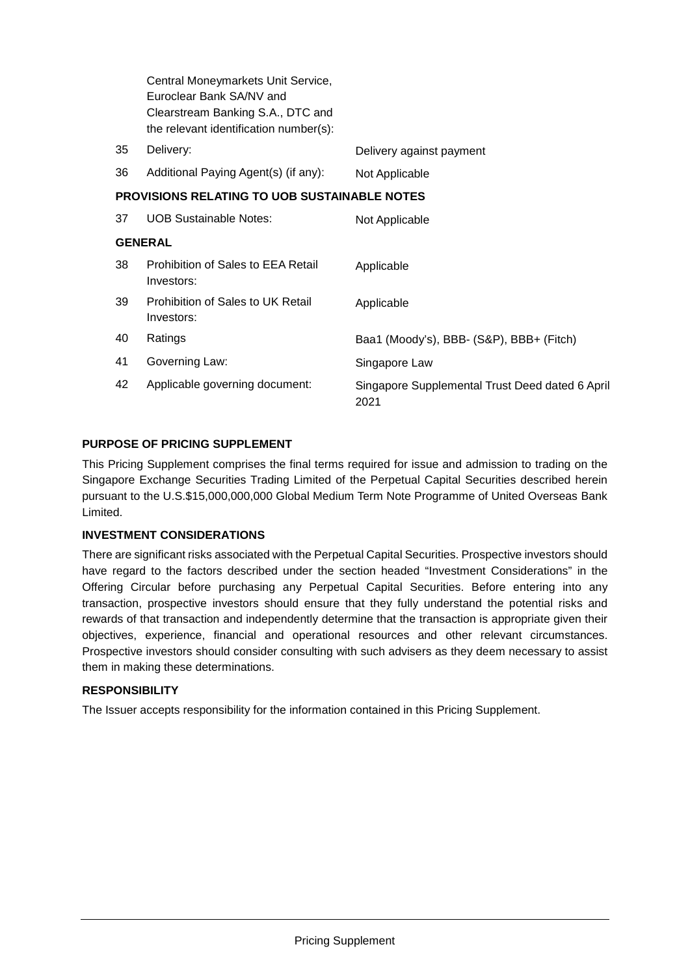|                | Central Moneymarkets Unit Service,<br>Euroclear Bank SA/NV and              |                                                         |  |
|----------------|-----------------------------------------------------------------------------|---------------------------------------------------------|--|
|                | Clearstream Banking S.A., DTC and<br>the relevant identification number(s): |                                                         |  |
| 35             | Delivery:                                                                   | Delivery against payment                                |  |
| 36             | Additional Paying Agent(s) (if any):                                        | Not Applicable                                          |  |
|                | <b>PROVISIONS RELATING TO UOB SUSTAINABLE NOTES</b>                         |                                                         |  |
| 37             | <b>UOB Sustainable Notes:</b>                                               | Not Applicable                                          |  |
| <b>GENERAL</b> |                                                                             |                                                         |  |
| 38             | Prohibition of Sales to EEA Retail<br>Investors:                            | Applicable                                              |  |
| 39             | Prohibition of Sales to UK Retail<br>Investors:                             | Applicable                                              |  |
| 40             | Ratings                                                                     | Baa1 (Moody's), BBB- (S&P), BBB+ (Fitch)                |  |
| 41             | Governing Law:                                                              | Singapore Law                                           |  |
| 42             | Applicable governing document:                                              | Singapore Supplemental Trust Deed dated 6 April<br>2021 |  |

## **PURPOSE OF PRICING SUPPLEMENT**

This Pricing Supplement comprises the final terms required for issue and admission to trading on the Singapore Exchange Securities Trading Limited of the Perpetual Capital Securities described herein pursuant to the U.S.\$15,000,000,000 Global Medium Term Note Programme of United Overseas Bank Limited.

### **INVESTMENT CONSIDERATIONS**

There are significant risks associated with the Perpetual Capital Securities. Prospective investors should have regard to the factors described under the section headed "Investment Considerations" in the Offering Circular before purchasing any Perpetual Capital Securities. Before entering into any transaction, prospective investors should ensure that they fully understand the potential risks and rewards of that transaction and independently determine that the transaction is appropriate given their objectives, experience, financial and operational resources and other relevant circumstances. Prospective investors should consider consulting with such advisers as they deem necessary to assist them in making these determinations.

# **RESPONSIBILITY**

The Issuer accepts responsibility for the information contained in this Pricing Supplement.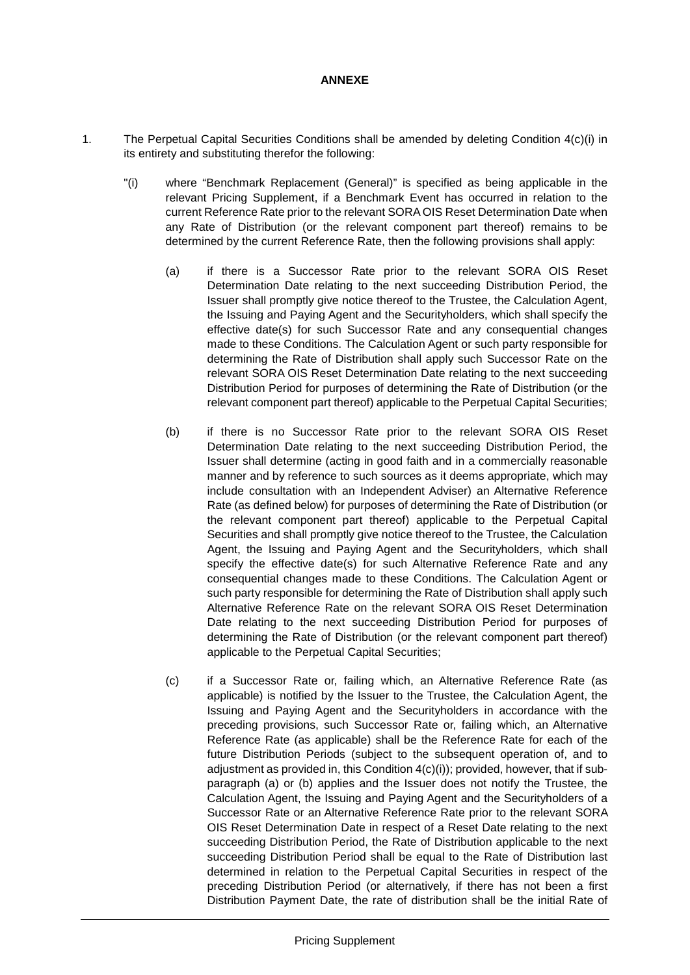#### **ANNEXE**

- 1. The Perpetual Capital Securities Conditions shall be amended by deleting Condition 4(c)(i) in its entirety and substituting therefor the following:
	- "(i) where "Benchmark Replacement (General)" is specified as being applicable in the relevant Pricing Supplement, if a Benchmark Event has occurred in relation to the current Reference Rate prior to the relevant SORA OIS Reset Determination Date when any Rate of Distribution (or the relevant component part thereof) remains to be determined by the current Reference Rate, then the following provisions shall apply:
		- (a) if there is a Successor Rate prior to the relevant SORA OIS Reset Determination Date relating to the next succeeding Distribution Period, the Issuer shall promptly give notice thereof to the Trustee, the Calculation Agent, the Issuing and Paying Agent and the Securityholders, which shall specify the effective date(s) for such Successor Rate and any consequential changes made to these Conditions. The Calculation Agent or such party responsible for determining the Rate of Distribution shall apply such Successor Rate on the relevant SORA OIS Reset Determination Date relating to the next succeeding Distribution Period for purposes of determining the Rate of Distribution (or the relevant component part thereof) applicable to the Perpetual Capital Securities;
		- (b) if there is no Successor Rate prior to the relevant SORA OIS Reset Determination Date relating to the next succeeding Distribution Period, the Issuer shall determine (acting in good faith and in a commercially reasonable manner and by reference to such sources as it deems appropriate, which may include consultation with an Independent Adviser) an Alternative Reference Rate (as defined below) for purposes of determining the Rate of Distribution (or the relevant component part thereof) applicable to the Perpetual Capital Securities and shall promptly give notice thereof to the Trustee, the Calculation Agent, the Issuing and Paying Agent and the Securityholders, which shall specify the effective date(s) for such Alternative Reference Rate and any consequential changes made to these Conditions. The Calculation Agent or such party responsible for determining the Rate of Distribution shall apply such Alternative Reference Rate on the relevant SORA OIS Reset Determination Date relating to the next succeeding Distribution Period for purposes of determining the Rate of Distribution (or the relevant component part thereof) applicable to the Perpetual Capital Securities;
		- (c) if a Successor Rate or, failing which, an Alternative Reference Rate (as applicable) is notified by the Issuer to the Trustee, the Calculation Agent, the Issuing and Paying Agent and the Securityholders in accordance with the preceding provisions, such Successor Rate or, failing which, an Alternative Reference Rate (as applicable) shall be the Reference Rate for each of the future Distribution Periods (subject to the subsequent operation of, and to adjustment as provided in, this Condition 4(c)(i)); provided, however, that if subparagraph (a) or (b) applies and the Issuer does not notify the Trustee, the Calculation Agent, the Issuing and Paying Agent and the Securityholders of a Successor Rate or an Alternative Reference Rate prior to the relevant SORA OIS Reset Determination Date in respect of a Reset Date relating to the next succeeding Distribution Period, the Rate of Distribution applicable to the next succeeding Distribution Period shall be equal to the Rate of Distribution last determined in relation to the Perpetual Capital Securities in respect of the preceding Distribution Period (or alternatively, if there has not been a first Distribution Payment Date, the rate of distribution shall be the initial Rate of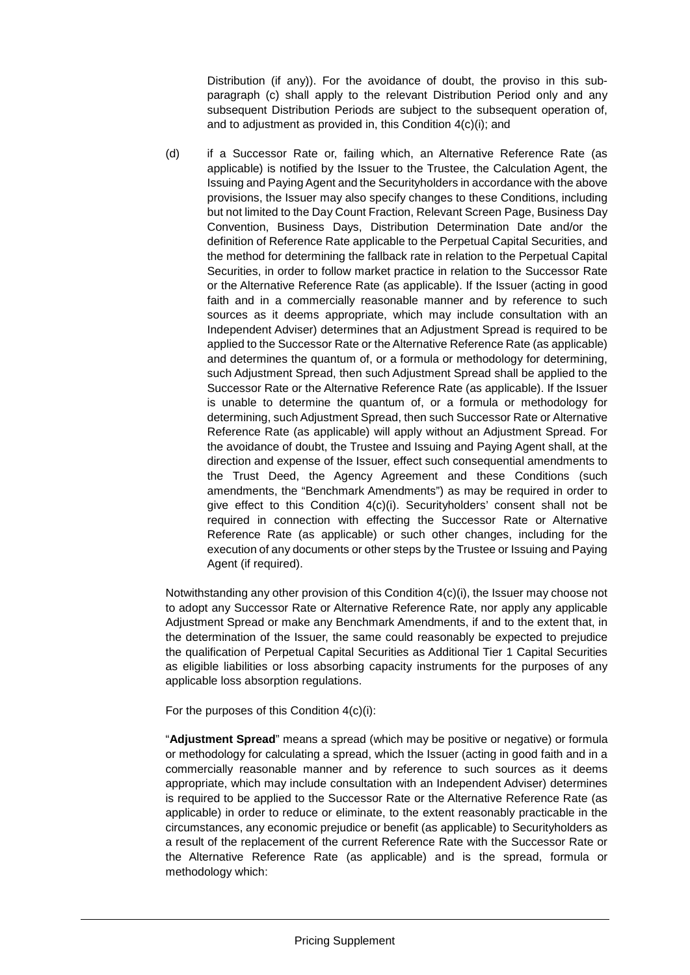Distribution (if any)). For the avoidance of doubt, the proviso in this subparagraph (c) shall apply to the relevant Distribution Period only and any subsequent Distribution Periods are subject to the subsequent operation of, and to adjustment as provided in, this Condition 4(c)(i); and

(d) if a Successor Rate or, failing which, an Alternative Reference Rate (as applicable) is notified by the Issuer to the Trustee, the Calculation Agent, the Issuing and Paying Agent and the Securityholders in accordance with the above provisions, the Issuer may also specify changes to these Conditions, including but not limited to the Day Count Fraction, Relevant Screen Page, Business Day Convention, Business Days, Distribution Determination Date and/or the definition of Reference Rate applicable to the Perpetual Capital Securities, and the method for determining the fallback rate in relation to the Perpetual Capital Securities, in order to follow market practice in relation to the Successor Rate or the Alternative Reference Rate (as applicable). If the Issuer (acting in good faith and in a commercially reasonable manner and by reference to such sources as it deems appropriate, which may include consultation with an Independent Adviser) determines that an Adjustment Spread is required to be applied to the Successor Rate or the Alternative Reference Rate (as applicable) and determines the quantum of, or a formula or methodology for determining, such Adjustment Spread, then such Adjustment Spread shall be applied to the Successor Rate or the Alternative Reference Rate (as applicable). If the Issuer is unable to determine the quantum of, or a formula or methodology for determining, such Adjustment Spread, then such Successor Rate or Alternative Reference Rate (as applicable) will apply without an Adjustment Spread. For the avoidance of doubt, the Trustee and Issuing and Paying Agent shall, at the direction and expense of the Issuer, effect such consequential amendments to the Trust Deed, the Agency Agreement and these Conditions (such amendments, the "Benchmark Amendments") as may be required in order to give effect to this Condition 4(c)(i). Securityholders' consent shall not be required in connection with effecting the Successor Rate or Alternative Reference Rate (as applicable) or such other changes, including for the execution of any documents or other steps by the Trustee or Issuing and Paying Agent (if required).

Notwithstanding any other provision of this Condition 4(c)(i), the Issuer may choose not to adopt any Successor Rate or Alternative Reference Rate, nor apply any applicable Adjustment Spread or make any Benchmark Amendments, if and to the extent that, in the determination of the Issuer, the same could reasonably be expected to prejudice the qualification of Perpetual Capital Securities as Additional Tier 1 Capital Securities as eligible liabilities or loss absorbing capacity instruments for the purposes of any applicable loss absorption regulations.

For the purposes of this Condition 4(c)(i):

"**Adjustment Spread**" means a spread (which may be positive or negative) or formula or methodology for calculating a spread, which the Issuer (acting in good faith and in a commercially reasonable manner and by reference to such sources as it deems appropriate, which may include consultation with an Independent Adviser) determines is required to be applied to the Successor Rate or the Alternative Reference Rate (as applicable) in order to reduce or eliminate, to the extent reasonably practicable in the circumstances, any economic prejudice or benefit (as applicable) to Securityholders as a result of the replacement of the current Reference Rate with the Successor Rate or the Alternative Reference Rate (as applicable) and is the spread, formula or methodology which: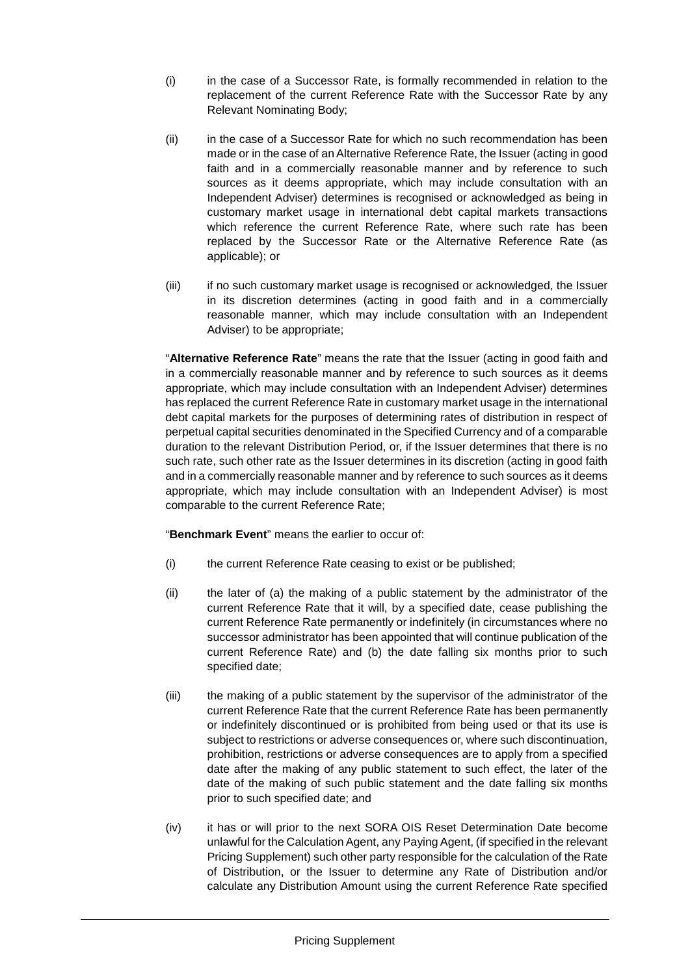- (i) in the case of a Successor Rate, is formally recommended in relation to the replacement of the current Reference Rate with the Successor Rate by any Relevant Nominating Body;
- (ii) in the case of a Successor Rate for which no such recommendation has been made or in the case of an Alternative Reference Rate, the Issuer (acting in good faith and in a commercially reasonable manner and by reference to such sources as it deems appropriate, which may include consultation with an Independent Adviser) determines is recognised or acknowledged as being in customary market usage in international debt capital markets transactions which reference the current Reference Rate, where such rate has been replaced by the Successor Rate or the Alternative Reference Rate (as applicable); or
- (iii) if no such customary market usage is recognised or acknowledged, the Issuer in its discretion determines (acting in good faith and in a commercially reasonable manner, which may include consultation with an Independent Adviser) to be appropriate;

"**Alternative Reference Rate**" means the rate that the Issuer (acting in good faith and in a commercially reasonable manner and by reference to such sources as it deems appropriate, which may include consultation with an Independent Adviser) determines has replaced the current Reference Rate in customary market usage in the international debt capital markets for the purposes of determining rates of distribution in respect of perpetual capital securities denominated in the Specified Currency and of a comparable duration to the relevant Distribution Period, or, if the Issuer determines that there is no such rate, such other rate as the Issuer determines in its discretion (acting in good faith and in a commercially reasonable manner and by reference to such sources as it deems appropriate, which may include consultation with an Independent Adviser) is most comparable to the current Reference Rate;

"**Benchmark Event**" means the earlier to occur of:

- (i) the current Reference Rate ceasing to exist or be published;
- (ii) the later of (a) the making of a public statement by the administrator of the current Reference Rate that it will, by a specified date, cease publishing the current Reference Rate permanently or indefinitely (in circumstances where no successor administrator has been appointed that will continue publication of the current Reference Rate) and (b) the date falling six months prior to such specified date;
- (iii) the making of a public statement by the supervisor of the administrator of the current Reference Rate that the current Reference Rate has been permanently or indefinitely discontinued or is prohibited from being used or that its use is subject to restrictions or adverse consequences or, where such discontinuation, prohibition, restrictions or adverse consequences are to apply from a specified date after the making of any public statement to such effect, the later of the date of the making of such public statement and the date falling six months prior to such specified date; and
- (iv) it has or will prior to the next SORA OIS Reset Determination Date become unlawful for the Calculation Agent, any Paying Agent, (if specified in the relevant Pricing Supplement) such other party responsible for the calculation of the Rate of Distribution, or the Issuer to determine any Rate of Distribution and/or calculate any Distribution Amount using the current Reference Rate specified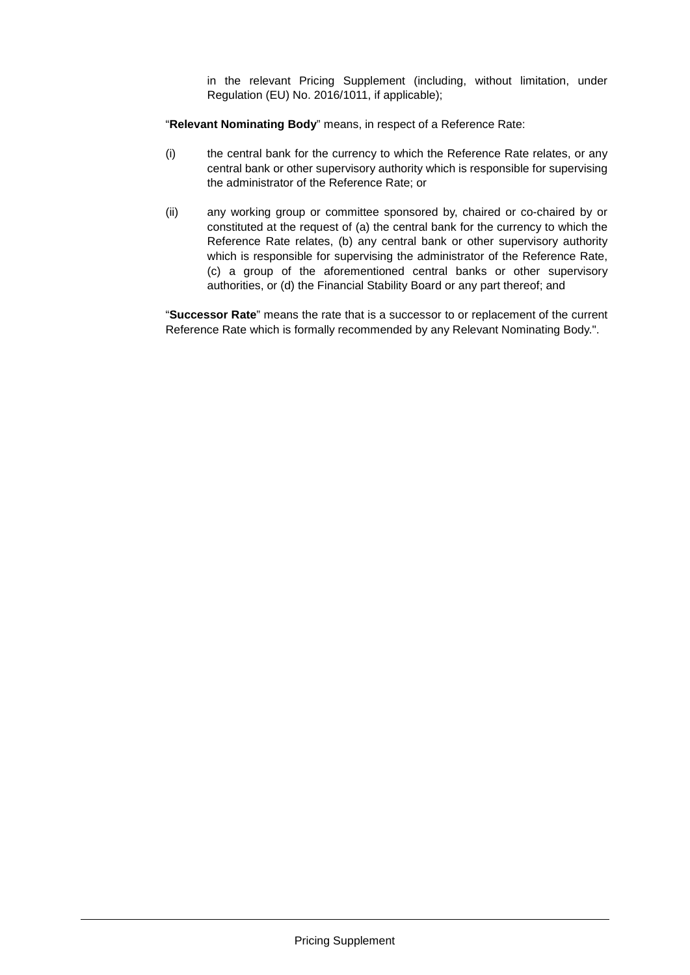in the relevant Pricing Supplement (including, without limitation, under Regulation (EU) No. 2016/1011, if applicable);

"**Relevant Nominating Body**" means, in respect of a Reference Rate:

- (i) the central bank for the currency to which the Reference Rate relates, or any central bank or other supervisory authority which is responsible for supervising the administrator of the Reference Rate; or
- (ii) any working group or committee sponsored by, chaired or co-chaired by or constituted at the request of (a) the central bank for the currency to which the Reference Rate relates, (b) any central bank or other supervisory authority which is responsible for supervising the administrator of the Reference Rate, (c) a group of the aforementioned central banks or other supervisory authorities, or (d) the Financial Stability Board or any part thereof; and

"**Successor Rate**" means the rate that is a successor to or replacement of the current Reference Rate which is formally recommended by any Relevant Nominating Body.".